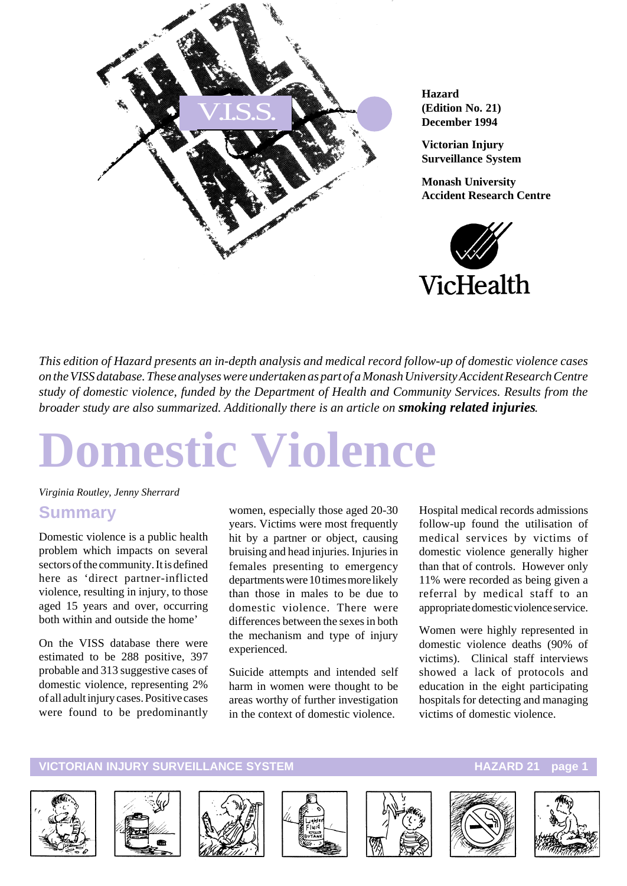

**Hazard (Edition No. 21) December 1994**

**Victorian Injury Surveillance System**

**Monash University Accident Research Centre**



*This edition of Hazard presents an in-depth analysis and medical record follow-up of domestic violence cases on the VISS database. These analyses were undertaken as part of a Monash University Accident Research Centre study of domestic violence, funded by the Department of Health and Community Services. Results from the broader study are also summarized. Additionally there is an article on smoking related injuries.*

# **Domestic Violence**

*Virginia Routley, Jenny Sherrard*

#### **Summary**

Domestic violence is a public health problem which impacts on several sectors of the community. It is defined here as 'direct partner-inflicted violence, resulting in injury, to those aged 15 years and over, occurring both within and outside the home'

On the VISS database there were estimated to be 288 positive, 397 probable and 313 suggestive cases of domestic violence, representing 2% of all adult injury cases. Positive cases were found to be predominantly

women, especially those aged 20-30 years. Victims were most frequently hit by a partner or object, causing bruising and head injuries. Injuries in females presenting to emergency departments were 10 times more likely than those in males to be due to domestic violence. There were differences between the sexes in both the mechanism and type of injury experienced.

Suicide attempts and intended self harm in women were thought to be areas worthy of further investigation in the context of domestic violence.

Hospital medical records admissions follow-up found the utilisation of medical services by victims of domestic violence generally higher than that of controls. However only 11% were recorded as being given a referral by medical staff to an appropriate domestic violence service.

Women were highly represented in domestic violence deaths (90% of victims). Clinical staff interviews showed a lack of protocols and education in the eight participating hospitals for detecting and managing victims of domestic violence.













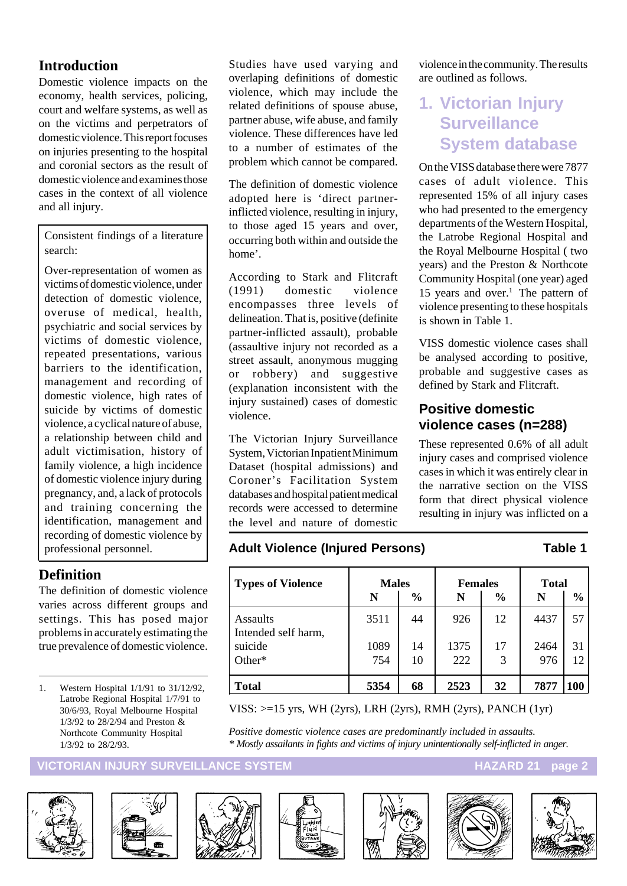#### **Introduction**

Domestic violence impacts on the economy, health services, policing, court and welfare systems, as well as on the victims and perpetrators of domestic violence. This report focuses on injuries presenting to the hospital and coronial sectors as the result of domestic violence and examines those cases in the context of all violence and all injury.

Consistent findings of a literature search:

Over-representation of women as victims of domestic violence, under detection of domestic violence, overuse of medical, health, psychiatric and social services by victims of domestic violence, repeated presentations, various barriers to the identification, management and recording of domestic violence, high rates of suicide by victims of domestic violence, a cyclical nature of abuse, a relationship between child and adult victimisation, history of family violence, a high incidence of domestic violence injury during pregnancy, and, a lack of protocols and training concerning the identification, management and recording of domestic violence by professional personnel.

#### **Definition**

The definition of domestic violence varies across different groups and settings. This has posed major problems in accurately estimating the true prevalence of domestic violence.

1. Western Hospital 1/1/91 to 31/12/92, Latrobe Regional Hospital 1/7/91 to 30/6/93, Royal Melbourne Hospital 1/3/92 to 28/2/94 and Preston & Northcote Community Hospital 1/3/92 to 28/2/93.

Studies have used varying and overlaping definitions of domestic violence, which may include the related definitions of spouse abuse, partner abuse, wife abuse, and family violence. These differences have led to a number of estimates of the problem which cannot be compared.

The definition of domestic violence adopted here is 'direct partnerinflicted violence, resulting in injury, to those aged 15 years and over, occurring both within and outside the home'.

According to Stark and Flitcraft (1991) domestic violence encompasses three levels of delineation. That is, positive (definite partner-inflicted assault), probable (assaultive injury not recorded as a street assault, anonymous mugging or robbery) and suggestive (explanation inconsistent with the injury sustained) cases of domestic violence.

The Victorian Injury Surveillance System, Victorian Inpatient Minimum Dataset (hospital admissions) and Coroner's Facilitation System databases and hospital patient medical records were accessed to determine the level and nature of domestic

#### **Adult Violence (Injured Persons) Table 1**

violence in the community. The results are outlined as follows.

# **1. Victorian Injury Surveillance System database**

On the VISS database there were 7877 cases of adult violence. This represented 15% of all injury cases who had presented to the emergency departments of the Western Hospital, the Latrobe Regional Hospital and the Royal Melbourne Hospital ( two years) and the Preston & Northcote Community Hospital (one year) aged 15 years and over.<sup>1</sup> The pattern of violence presenting to these hospitals is shown in Table 1.

VISS domestic violence cases shall be analysed according to positive, probable and suggestive cases as defined by Stark and Flitcraft.

#### **Positive domestic violence cases (n=288)**

These represented 0.6% of all adult injury cases and comprised violence cases in which it was entirely clear in the narrative section on the VISS form that direct physical violence resulting in injury was inflicted on a

| <b>Types of Violence</b>               | <b>Males</b> |               | <b>Females</b> |               | <b>Total</b> |               |
|----------------------------------------|--------------|---------------|----------------|---------------|--------------|---------------|
|                                        | N            | $\frac{0}{0}$ | N              | $\frac{0}{0}$ | N            | $\frac{6}{6}$ |
| <b>Assaults</b><br>Intended self harm, | 3511         | 44            | 926            | 12            | 4437         | 57            |
| suicide                                | 1089         | 14            | 1375           | 17            | 2464         | 31            |
| Other*                                 | 754          | 10            | 222            | 3             | 976          | 12            |
| Total                                  | 5354         | 68            | 2523           | 32            | 7877         | 100           |

VISS: >=15 yrs, WH (2yrs), LRH (2yrs), RMH (2yrs), PANCH (1yr)

*Positive domestic violence cases are predominantly included in assaults. \* Mostly assailants in fights and victims of injury unintentionally self-inflicted in anger.*

#### **VICTORIAN INJURY SURVEILLANCE SYSTEM AND RESERVE THE RESERVE HAZARD 21 page 2**













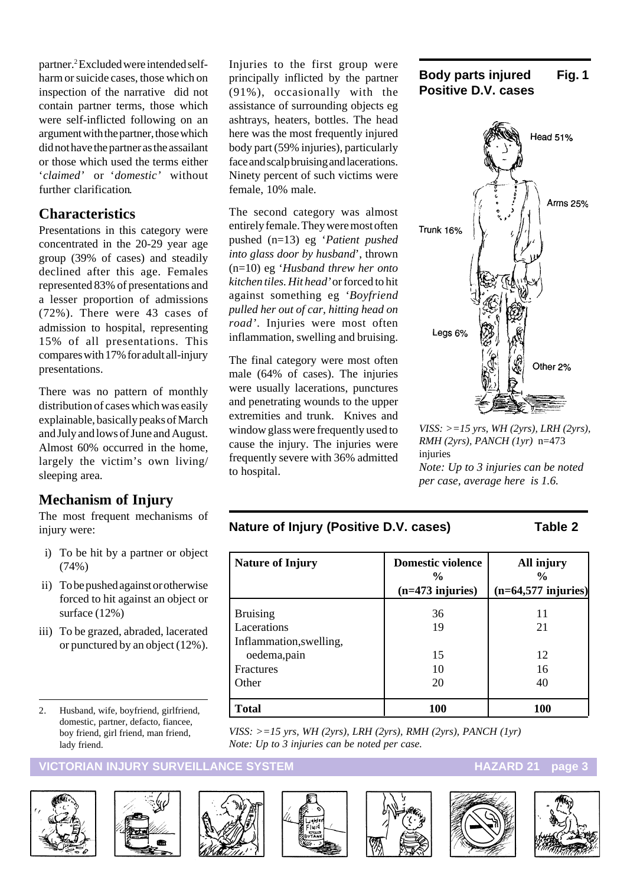partner.2 Excluded were intended selfharm or suicide cases, those which on inspection of the narrative did not contain partner terms, those which were self-inflicted following on an argument with the partner, those which did not have the partner as the assailant or those which used the terms either '*claimed'* or '*domestic'* without further clarification*.*

#### **Characteristics**

Presentations in this category were concentrated in the 20-29 year age group (39% of cases) and steadily declined after this age. Females represented 83% of presentations and a lesser proportion of admissions (72%). There were 43 cases of admission to hospital, representing 15% of all presentations. This compares with 17% for adult all-injury presentations.

There was no pattern of monthly distribution of cases which was easily explainable, basically peaks of March and July and lows of June and August. Almost 60% occurred in the home, largely the victim's own living/ sleeping area.

#### **Mechanism of Injury**

The most frequent mechanisms of injury were:

- i) To be hit by a partner or object (74%)
- ii) To be pushed against or otherwise forced to hit against an object or surface (12%)
- iii) To be grazed, abraded, lacerated or punctured by an object (12%).
- 2. Husband, wife, boyfriend, girlfriend, domestic, partner, defacto, fiancee, boy friend, girl friend, man friend, lady friend.

#### **ICTORIAN INJURY SURVEILLANCE SYSTEM** And the state of the HAZARD 21 page 3







The second category was almost entirely female. They were most often pushed (n=13) eg '*Patient pushed into glass door by husband*', thrown (n=10) eg '*Husband threw her onto kitchen tiles. Hit head'* or forced to hit against something eg '*Boyfriend pulled her out of car, hitting head on road'*. Injuries were most often inflammation, swelling and bruising.

The final category were most often male (64% of cases). The injuries were usually lacerations, punctures and penetrating wounds to the upper extremities and trunk. Knives and window glass were frequently used to cause the injury. The injuries were frequently severe with 36% admitted to hospital.





*VISS: >=15 yrs, WH (2yrs), LRH (2yrs), RMH (2yrs), PANCH (1yr)* n=473 injuries *Note: Up to 3 injuries can be noted per case, average here is 1.6.*

#### **Nature of Injury (Positive D.V. cases) Table 2**

| <b>Nature of Injury</b> | <b>Domestic violence</b><br>$\frac{0}{0}$<br>$(n=473$ injuries) | All injury<br>$\frac{0}{0}$<br>$(n=64,577$ injuries) |
|-------------------------|-----------------------------------------------------------------|------------------------------------------------------|
| <b>Bruising</b>         | 36                                                              | 11                                                   |
| Lacerations             | 19                                                              | 21                                                   |
| Inflammation, swelling, |                                                                 |                                                      |
| oedema, pain            | 15                                                              | 12                                                   |
| <b>Fractures</b>        | 10                                                              | 16                                                   |
| Other                   | 20                                                              | 40                                                   |
| Total                   | <b>100</b>                                                      | 100                                                  |

*VISS: >=15 yrs, WH (2yrs), LRH (2yrs), RMH (2yrs), PANCH (1yr) Note: Up to 3 injuries can be noted per case.*



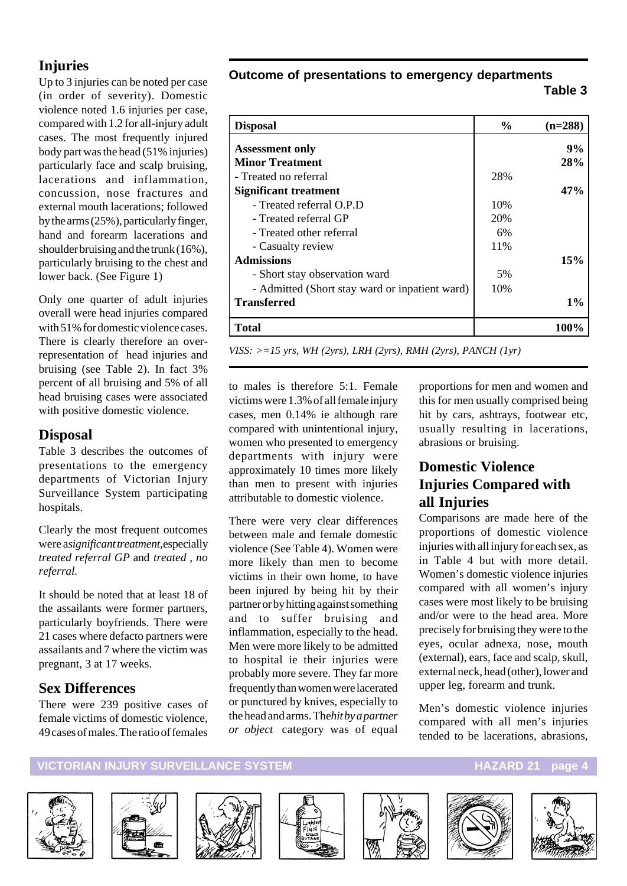### **Injuries**

Up to 3 injuries can be noted per case (in order of severity). Domestic violence noted 1.6 injuries per case, compared with 1.2 for all-injury adult cases. The most frequently injured body part was the head (51% injuries) particularly face and scalp bruising, lacerations and inflammation, concussion, nose fractures and external mouth lacerations; followed by the arms (25%), particularly finger, hand and forearm lacerations and shoulder bruising and the trunk (16%), particularly bruising to the chest and lower back. (See Figure 1)

Only one quarter of adult injuries overall were head injuries compared with 51% for domestic violence cases. There is clearly therefore an overrepresentation of head injuries and bruising (see Table 2). In fact 3% percent of all bruising and 5% of all head bruising cases were associated with positive domestic violence.

#### **Disposal**

Table 3 describes the outcomes of presentations to the emergency departments of Victorian Injury Surveillance System participating hospitals.

Clearly the most frequent outcomes were a *significant treatment,*especially *treated referral GP* and *treated , no referral.*

It should be noted that at least 18 of the assailants were former partners, particularly boyfriends. There were 21 cases where defacto partners were assailants and 7 where the victim was pregnant, 3 at 17 weeks.

#### **Sex Differences**

There were 239 positive cases of female victims of domestic violence, 49 cases of males. The ratio of females

### **Outcome of presentations to emergency departments**

**Table 3**

| <b>Disposal</b>                                | $\frac{6}{9}$ | $(n=288)$ |
|------------------------------------------------|---------------|-----------|
| <b>Assessment only</b>                         |               | 9%        |
| <b>Minor Treatment</b>                         |               | 28%       |
| - Treated no referral                          | 28%           |           |
| Significant treatment                          |               | 47%       |
| - Treated referral O.P.D                       | 10%           |           |
| - Treated referral GP                          | 20%           |           |
| - Treated other referral                       | 6%            |           |
| - Casualty review                              | 11%           |           |
| <b>Admissions</b>                              |               | 15%       |
| - Short stay observation ward                  | 5%            |           |
| - Admitted (Short stay ward or inpatient ward) | 10%           |           |
| <b>Transferred</b>                             |               | $1\%$     |
| <b>Total</b>                                   |               | 100%      |

*VISS: >=15 yrs, WH (2yrs), LRH (2yrs), RMH (2yrs), PANCH (1yr)*

to males is therefore 5:1. Female victims were 1.3% of all female injury cases, men 0.14% ie although rare compared with unintentional injury, women who presented to emergency departments with injury were approximately 10 times more likely than men to present with injuries attributable to domestic violence.

There were very clear differences between male and female domestic violence (See Table 4). Women were more likely than men to become victims in their own home, to have been injured by being hit by their partner or by hitting against something and to suffer bruising and inflammation, especially to the head. Men were more likely to be admitted to hospital ie their injuries were probably more severe. They far more frequently than women were lacerated or punctured by knives, especially to the head and arms. The *hit by a partner or object* category was of equal

proportions for men and women and this for men usually comprised being hit by cars, ashtrays, footwear etc, usually resulting in lacerations, abrasions or bruising.

#### **Domestic Violence Injuries Compared with all Injuries**

Comparisons are made here of the proportions of domestic violence injuries with all injury for each sex, as in Table 4 but with more detail. Women's domestic violence injuries compared with all women's injury cases were most likely to be bruising and/or were to the head area. More precisely for bruising they were to the eyes, ocular adnexa, nose, mouth (external), ears, face and scalp, skull, external neck, head (other), lower and upper leg, forearm and trunk.

Men's domestic violence injuries compared with all men's injuries tended to be lacerations, abrasions,

#### **VICTORIAN INJURY SURVEILLANCE SYSTEM AND RELATION CONTROLLY AND HAZARD 21 page 4**













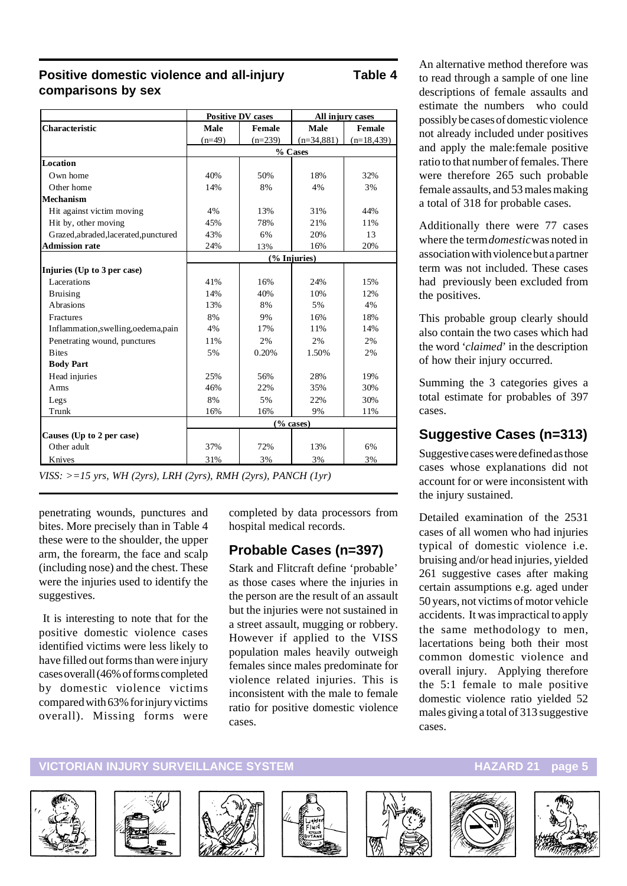#### **Positive domestic violence and all-injury Table 4 comparisons by sex**

|                                       |              | <b>Positive DV cases</b> |              | All injury cases |  |
|---------------------------------------|--------------|--------------------------|--------------|------------------|--|
| <b>Characteristic</b>                 | Male         | <b>Female</b>            | <b>Male</b>  | <b>Female</b>    |  |
|                                       | $(n=49)$     | $(n=239)$                | $(n=34,881)$ | $(n=18, 439)$    |  |
|                                       |              |                          | % Cases      |                  |  |
| Location                              |              |                          |              |                  |  |
| Own home                              | 40%          | 50%                      | 18%          | 32%              |  |
| Other home                            | 14%          | 8%                       | 4%           | 3%               |  |
| <b>Mechanism</b>                      |              |                          |              |                  |  |
| Hit against victim moving             | 4%           | 13%                      | 31%          | 44%              |  |
| Hit by, other moving                  | 45%          | 78%                      | 21%          | 11%              |  |
| Grazed, abraded, lacerated, punctured | 43%          | 6%                       | 20%          | 13               |  |
| <b>Admission rate</b>                 | 24%          | 13%                      | 16%          | 20%              |  |
|                                       | (% Injuries) |                          |              |                  |  |
| Injuries (Up to 3 per case)           |              |                          |              |                  |  |
| Lacerations                           | 41%          | 16%                      | 24%          | 1.5%             |  |
| <b>Bruising</b>                       | 14%          | 40%                      | 10%          | 12%              |  |
| Abrasions                             | 13%          | 8%                       | 5%           | 4%               |  |
| Fractures                             | 8%           | 9%                       | 16%          | 18%              |  |
| Inflammation,swelling,oedema,pain     | 4%           | 17%                      | 11%          | 14%              |  |
| Penetrating wound, punctures          | 11%          | 2%                       | 2%           | 2%               |  |
| <b>Bites</b>                          | 5%           | 0.20%                    | 1.50%        | 2%               |  |
| <b>Body Part</b>                      |              |                          |              |                  |  |
| Head injuries                         | 25%          | 56%                      | 28%          | 19%              |  |
| Arms                                  | 46%          | 22%                      | 35%          | 30%              |  |
| Legs                                  | 8%           | 5%                       | 22%          | 30%              |  |
| Trunk                                 | 16%          | 16%                      | 9%           | 11%              |  |
|                                       | $(\%$ cases) |                          |              |                  |  |
| Causes (Up to 2 per case)             |              |                          |              |                  |  |
| Other adult                           | 37%          | 72%                      | 13%          | 6%               |  |
| Knives                                | 31%          | 3%                       | 3%           | 3%               |  |

*VISS: >=15 yrs, WH (2yrs), LRH (2yrs), RMH (2yrs), PANCH (1yr)*

penetrating wounds, punctures and bites. More precisely than in Table 4 these were to the shoulder, the upper arm, the forearm, the face and scalp (including nose) and the chest. These were the injuries used to identify the suggestives.

 It is interesting to note that for the positive domestic violence cases identified victims were less likely to have filled out forms than were injury cases overall (46% of forms completed by domestic violence victims compared with 63% for injury victims overall). Missing forms were

completed by data processors from hospital medical records.

### **Probable Cases (n=397)**

Stark and Flitcraft define 'probable' as those cases where the injuries in the person are the result of an assault but the injuries were not sustained in a street assault, mugging or robbery. However if applied to the VISS population males heavily outweigh females since males predominate for violence related injuries. This is inconsistent with the male to female ratio for positive domestic violence cases.

An alternative method therefore was to read through a sample of one line descriptions of female assaults and estimate the numbers who could possibly be cases of domestic violence not already included under positives and apply the male:female positive ratio to that number of females. There were therefore 265 such probable female assaults, and 53 males making a total of 318 for probable cases.

Additionally there were 77 cases where the term *domestic* was noted in association with violence but a partner term was not included. These cases had previously been excluded from the positives.

This probable group clearly should also contain the two cases which had the word '*claimed*' in the description of how their injury occurred.

Summing the 3 categories gives a total estimate for probables of 397 cases.

## **Suggestive Cases (n=313)**

Suggestive cases were defined as those cases whose explanations did not account for or were inconsistent with the injury sustained.

Detailed examination of the 2531 cases of all women who had injuries typical of domestic violence i.e. bruising and/or head injuries, yielded 261 suggestive cases after making certain assumptions e.g. aged under 50 years, not victims of motor vehicle accidents. It was impractical to apply the same methodology to men, lacertations being both their most common domestic violence and overall injury. Applying therefore the 5:1 female to male positive domestic violence ratio yielded 52 males giving a total of 313 suggestive cases.













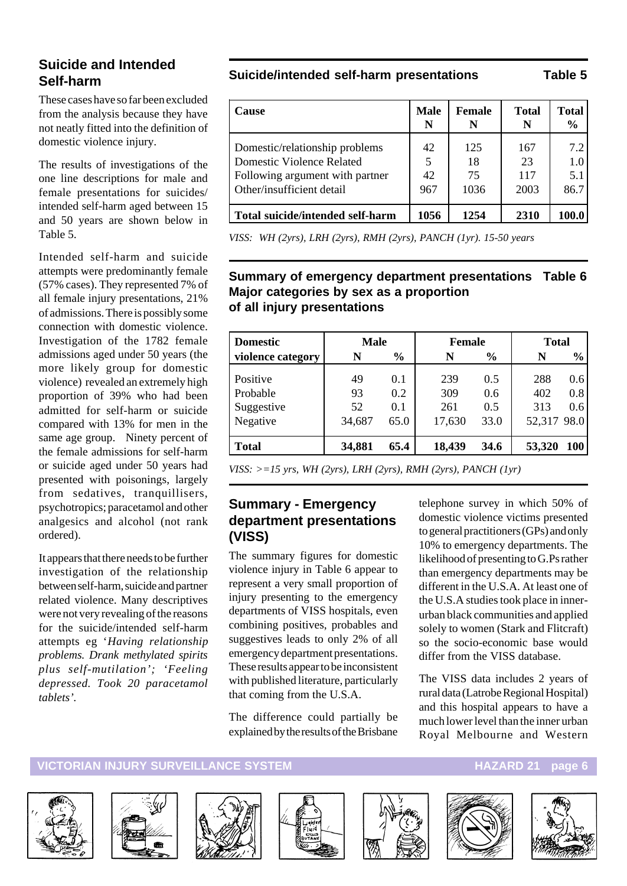#### **Suicide and Intended Self-harm**

These cases have so far been excluded from the analysis because they have not neatly fitted into the definition of domestic violence injury.

The results of investigations of the one line descriptions for male and female presentations for suicides/ intended self-harm aged between 15 and 50 years are shown below in Table 5.

Intended self-harm and suicide attempts were predominantly female (57% cases). They represented 7% of all female injury presentations, 21% of admissions. There is possibly some connection with domestic violence. Investigation of the 1782 female admissions aged under 50 years (the more likely group for domestic violence) revealed an extremely high proportion of 39% who had been admitted for self-harm or suicide compared with 13% for men in the same age group. Ninety percent of the female admissions for self-harm or suicide aged under 50 years had presented with poisonings, largely from sedatives, tranquillisers, psychotropics; paracetamol and other analgesics and alcohol (not rank ordered).

It appears that there needs to be further investigation of the relationship between self-harm, suicide and partner related violence. Many descriptives were not very revealing of the reasons for the suicide/intended self-harm attempts eg '*Having relationship problems. Drank methylated spirits plus self-mutilation'; 'Feeling depressed. Took 20 paracetamol tablets'.*

#### **Suicide/intended self-harm presentations Table 5**

| Cause                                                                                                                              | <b>Male</b><br>N | <b>Female</b><br>N      | <b>Total</b><br>N        | <b>Total</b><br>$\frac{0}{0}$ |
|------------------------------------------------------------------------------------------------------------------------------------|------------------|-------------------------|--------------------------|-------------------------------|
| Domestic/relationship problems<br><b>Domestic Violence Related</b><br>Following argument with partner<br>Other/insufficient detail | 42<br>42<br>967  | 125<br>18<br>75<br>1036 | 167<br>23<br>117<br>2003 | 7.2<br>1.0<br>5.1<br>86.7     |
| Total suicide/intended self-harm                                                                                                   | 1056             | 1254                    | 2310                     | 100.0                         |

*VISS: WH (2yrs), LRH (2yrs), RMH (2yrs), PANCH (1yr). 15-50 years*

#### **Summary of emergency department presentations Table 6 Major categories by sex as a proportion of all injury presentations**

| <b>Domestic</b>   | <b>Male</b> |               | <b>Female</b> |               | <b>Total</b> |               |
|-------------------|-------------|---------------|---------------|---------------|--------------|---------------|
| violence category | N           | $\frac{6}{9}$ | N             | $\frac{6}{6}$ | N            | $\frac{0}{0}$ |
| Positive          | 49          | 0.1           | 239           | 0.5           | 288          | 0.6           |
| Probable          | 93          | 0.2           | 309           | 0.6           | 402          | 0.8           |
| Suggestive        | 52          | 0.1           | 261           | 0.5           | 313          | 0.6           |
| Negative          | 34,687      | 65.0          | 17,630        | 33.0          | 52,317 98.0  |               |
| <b>Total</b>      | 34,881      | 65.4          | 18,439        | 34.6          | 53,320       | <b>100</b>    |

*VISS: >=15 yrs, WH (2yrs), LRH (2yrs), RMH (2yrs), PANCH (1yr)*

#### **Summary - Emergency department presentations (VISS)**

The summary figures for domestic violence injury in Table 6 appear to represent a very small proportion of injury presenting to the emergency departments of VISS hospitals, even combining positives, probables and suggestives leads to only 2% of all emergency department presentations. These results appear to be inconsistent with published literature, particularly that coming from the U.S.A.

The difference could partially be explained by the results of the Brisbane telephone survey in which 50% of domestic violence victims presented to general practitioners (GPs) and only 10% to emergency departments. The likelihood of presenting to G.Ps rather than emergency departments may be different in the U.S.A. At least one of the U.S.A studies took place in innerurban black communities and applied solely to women (Stark and Flitcraft) so the socio-economic base would differ from the VISS database.

The VISS data includes 2 years of rural data (Latrobe Regional Hospital) and this hospital appears to have a much lower level than the inner urban Royal Melbourne and Western













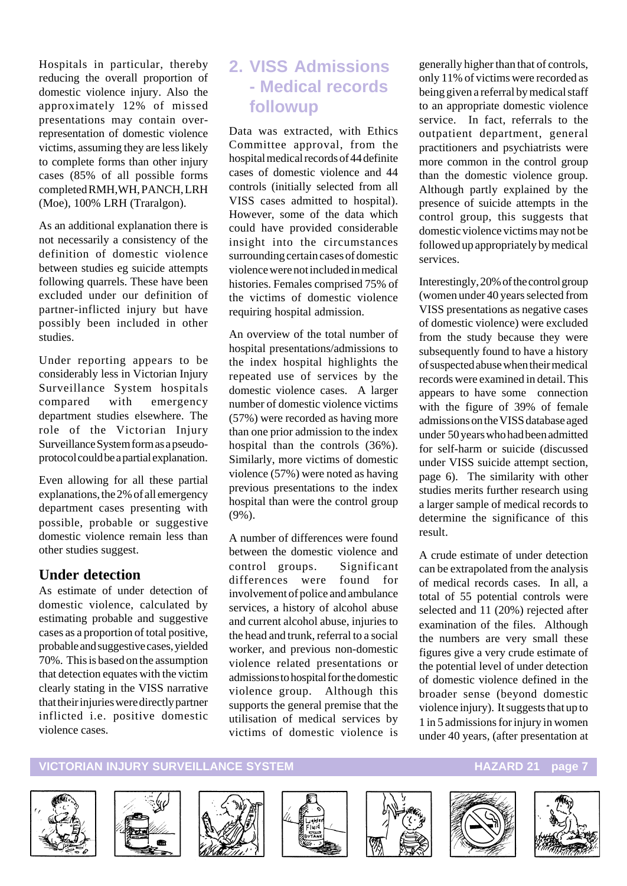Hospitals in particular, thereby reducing the overall proportion of domestic violence injury. Also the approximately 12% of missed presentations may contain overrepresentation of domestic violence victims, assuming they are less likely to complete forms than other injury cases (85% of all possible forms completed RMH,WH, PANCH, LRH (Moe), 100% LRH (Traralgon).

As an additional explanation there is not necessarily a consistency of the definition of domestic violence between studies eg suicide attempts following quarrels. These have been excluded under our definition of partner-inflicted injury but have possibly been included in other studies.

Under reporting appears to be considerably less in Victorian Injury Surveillance System hospitals compared with emergency department studies elsewhere. The role of the Victorian Injury Surveillance System form as a pseudoprotocol could be a partial explanation.

Even allowing for all these partial explanations, the 2% of all emergency department cases presenting with possible, probable or suggestive domestic violence remain less than other studies suggest.

#### **Under detection**

As estimate of under detection of domestic violence, calculated by estimating probable and suggestive cases as a proportion of total positive, probable and suggestive cases, yielded 70%. This is based on the assumption that detection equates with the victim clearly stating in the VISS narrative that their injuries were directly partner inflicted i.e. positive domestic violence cases.

## **2. VISS Admissions - Medical records followup**

Data was extracted, with Ethics Committee approval, from the hospital medical records of 44 definite cases of domestic violence and 44 controls (initially selected from all VISS cases admitted to hospital). However, some of the data which could have provided considerable insight into the circumstances surrounding certain cases of domestic violence were not included in medical histories. Females comprised 75% of the victims of domestic violence requiring hospital admission.

An overview of the total number of hospital presentations/admissions to the index hospital highlights the repeated use of services by the domestic violence cases. A larger number of domestic violence victims (57%) were recorded as having more than one prior admission to the index hospital than the controls (36%). Similarly, more victims of domestic violence (57%) were noted as having previous presentations to the index hospital than were the control group (9%).

A number of differences were found between the domestic violence and control groups. Significant differences were found for involvement of police and ambulance services, a history of alcohol abuse and current alcohol abuse, injuries to the head and trunk, referral to a social worker, and previous non-domestic violence related presentations or admissions to hospital for the domestic violence group. Although this supports the general premise that the utilisation of medical services by victims of domestic violence is

generally higher than that of controls, only 11% of victims were recorded as being given a referral by medical staff to an appropriate domestic violence service. In fact, referrals to the outpatient department, general practitioners and psychiatrists were more common in the control group than the domestic violence group. Although partly explained by the presence of suicide attempts in the control group, this suggests that domestic violence victims may not be followed up appropriately by medical services.

Interestingly, 20% of the control group (women under 40 years selected from VISS presentations as negative cases of domestic violence) were excluded from the study because they were subsequently found to have a history of suspected abuse when their medical records were examined in detail. This appears to have some connection with the figure of 39% of female admissions on the VISS database aged under 50 years who had been admitted for self-harm or suicide (discussed under VISS suicide attempt section, page 6). The similarity with other studies merits further research using a larger sample of medical records to determine the significance of this result.

A crude estimate of under detection can be extrapolated from the analysis of medical records cases. In all, a total of 55 potential controls were selected and 11 (20%) rejected after examination of the files. Although the numbers are very small these figures give a very crude estimate of the potential level of under detection of domestic violence defined in the broader sense (beyond domestic violence injury). It suggests that up to 1 in 5 admissions for injury in women under 40 years, (after presentation at

#### **VICTORIAN INJURY SURVEILLANCE SYSTEM AND RESOURCE HAZARD 21 page 7**













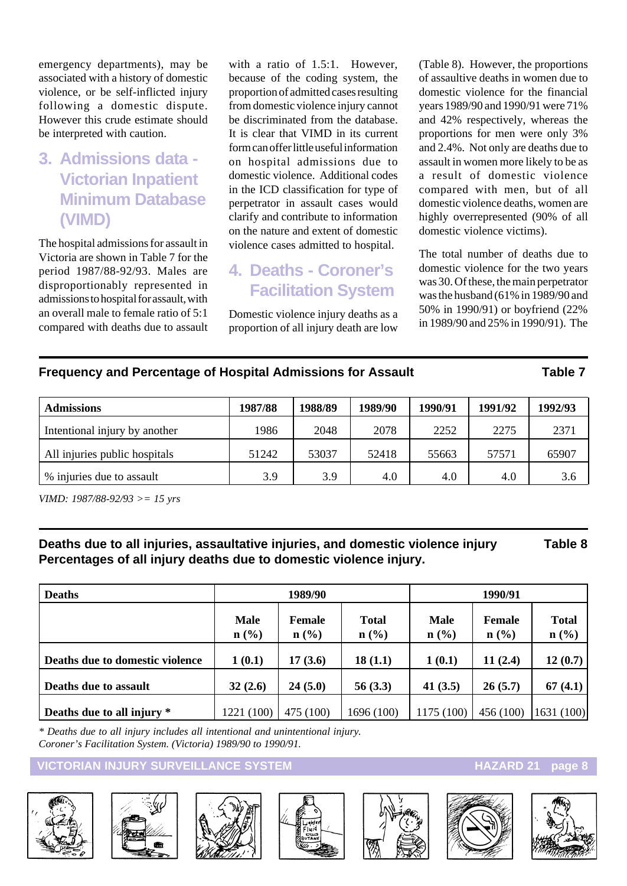emergency departments), may be associated with a history of domestic violence, or be self-inflicted injury following a domestic dispute. However this crude estimate should be interpreted with caution.

# **3. Admissions data - Victorian Inpatient Minimum Database (VIMD)**

The hospital admissions for assault in Victoria are shown in Table 7 for the period 1987/88-92/93. Males are disproportionably represented in admissions to hospital for assault, with an overall male to female ratio of 5:1 compared with deaths due to assault with a ratio of 1.5:1. However, because of the coding system, the proportion of admitted cases resulting from domestic violence injury cannot be discriminated from the database. It is clear that VIMD in its current form can offer little useful information on hospital admissions due to domestic violence. Additional codes in the ICD classification for type of perpetrator in assault cases would clarify and contribute to information on the nature and extent of domestic violence cases admitted to hospital.

## **4. Deaths - Coroner's Facilitation System**

Domestic violence injury deaths as a proportion of all injury death are low

(Table 8). However, the proportions of assaultive deaths in women due to domestic violence for the financial years 1989/90 and 1990/91 were 71% and 42% respectively, whereas the proportions for men were only 3% and 2.4%. Not only are deaths due to assault in women more likely to be as a result of domestic violence compared with men, but of all domestic violence deaths, women are highly overrepresented (90% of all domestic violence victims).

The total number of deaths due to domestic violence for the two years was 30. Of these, the main perpetrator was the husband (61% in 1989/90 and 50% in 1990/91) or boyfriend (22% in 1989/90 and 25% in 1990/91). The

#### **Frequency and Percentage of Hospital Admissions for Assault Table 7**

| <b>Admissions</b>             | 1987/88 | 1988/89 | 1989/90 | 1990/91 | 1991/92 | 1992/93 |
|-------------------------------|---------|---------|---------|---------|---------|---------|
| Intentional injury by another | 1986    | 2048    | 2078    | 2252    | 2275    | 2371    |
| All injuries public hospitals | 51242   | 53037   | 52418   | 55663   | 57571   | 65907   |
| % injuries due to assault     | 3.9     | 3.9     | 4.0     | 4.0     | 4.0     | 3.6     |

*VIMD: 1987/88-92/93 >= 15 yrs*

**Deaths due to all injuries, assaultative injuries, and domestic violence injury Table 8 Percentages of all injury deaths due to domestic violence injury.**

| <b>Deaths</b>                   | 1989/90             |                   |                                             | 1990/91                |                                       |                                             |
|---------------------------------|---------------------|-------------------|---------------------------------------------|------------------------|---------------------------------------|---------------------------------------------|
|                                 | <b>Male</b><br>n(%) | Female<br>$n$ (%) | <b>Total</b><br>$n\left(\frac{0}{0}\right)$ | <b>Male</b><br>$n$ (%) | Female<br>$n\left(\frac{0}{0}\right)$ | <b>Total</b><br>$n\left(\frac{0}{0}\right)$ |
| Deaths due to domestic violence | 1(0.1)              | 17(3.6)           | 18(1.1)                                     | 1(0.1)                 | 11(2.4)                               | 12(0.7)                                     |
| Deaths due to assault           | 32(2.6)             | 24(5.0)           | 56(3.3)                                     | 41 $(3.5)$             | 26(5.7)                               | 67 $(4.1)$                                  |
| Deaths due to all injury *      | 1221 (100)          | 475 (100)         | 1696 (100)                                  | 1175 (100)             | 456(100)                              | 1631(100)                                   |

*\* Deaths due to all injury includes all intentional and unintentional injury. Coroner's Facilitation System. (Victoria) 1989/90 to 1990/91.*

#### **VICTORIAN INJURY SURVEILLANCE SYSTEM AND RESERVE THE RESERVE HAZARD 21 page 8**













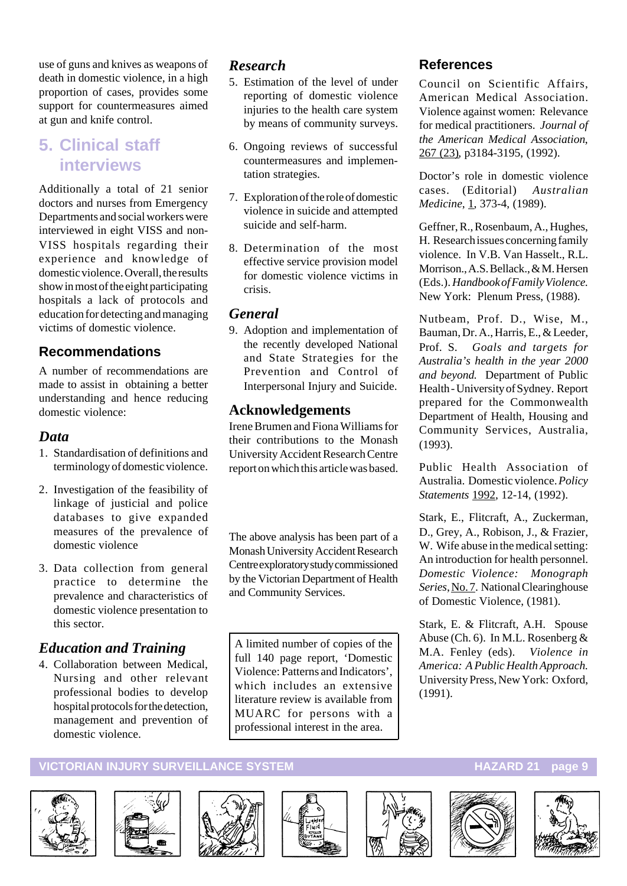use of guns and knives as weapons of death in domestic violence, in a high proportion of cases, provides some support for countermeasures aimed at gun and knife control.

# **5. Clinical staff interviews**

Additionally a total of 21 senior doctors and nurses from Emergency Departments and social workers were interviewed in eight VISS and non-VISS hospitals regarding their experience and knowledge of domestic violence. Overall, the results show in most of the eight participating hospitals a lack of protocols and education for detecting and managing victims of domestic violence.

#### **Recommendations**

A number of recommendations are made to assist in obtaining a better understanding and hence reducing domestic violence:

#### *Data*

- 1. Standardisation of definitions and terminology of domestic violence.
- 2. Investigation of the feasibility of linkage of justicial and police databases to give expanded measures of the prevalence of domestic violence
- 3. Data collection from general practice to determine the prevalence and characteristics of domestic violence presentation to this sector.

### *Education and Training*

4. Collaboration between Medical, Nursing and other relevant professional bodies to develop hospital protocols for the detection, management and prevention of domestic violence.

#### *Research*

- 5. Estimation of the level of under reporting of domestic violence injuries to the health care system by means of community surveys.
- 6. Ongoing reviews of successful countermeasures and implementation strategies.
- 7. Exploration of the role of domestic violence in suicide and attempted suicide and self-harm.
- 8. Determination of the most effective service provision model for domestic violence victims in crisis.

#### *General*

9. Adoption and implementation of the recently developed National and State Strategies for the Prevention and Control of Interpersonal Injury and Suicide.

#### **Acknowledgements**

Irene Brumen and Fiona Williams for their contributions to the Monash University Accident Research Centre report on which this article was based.

The above analysis has been part of a Monash University Accident Research Centre exploratory study commissioned by the Victorian Department of Health and Community Services.

A limited number of copies of the full 140 page report, 'Domestic Violence: Patterns and Indicators', which includes an extensive literature review is available from MUARC for persons with a professional interest in the area.

#### **References**

Council on Scientific Affairs, American Medical Association. Violence against women: Relevance for medical practitioners. *Journal of the American Medical Association*, 267 (23), p3184-3195, (1992).

Doctor's role in domestic violence cases. (Editorial) *Australian Medicine*, 1, 373-4, (1989).

Geffner, R., Rosenbaum, A., Hughes, H. Research issues concerning family violence. In V.B. Van Hasselt., R.L. Morrison., A.S. Bellack., & M. Hersen (Eds.). *Handbook of Family Violence*. New York: Plenum Press, (1988).

Nutbeam, Prof. D., Wise, M., Bauman, Dr. A., Harris, E., & Leeder, Prof. S. *Goals and targets for Australia's health in the year 2000 and beyond*. Department of Public Health - University of Sydney. Report prepared for the Commonwealth Department of Health, Housing and Community Services, Australia, (1993).

Public Health Association of Australia. Domestic violence. *Policy Statements* 1992, 12-14, (1992).

Stark, E., Flitcraft, A., Zuckerman, D., Grey, A., Robison, J., & Frazier, W. Wife abuse in the medical setting: An introduction for health personnel. *Domestic Violence: Monograph Series*, No. 7. National Clearinghouse of Domestic Violence, (1981).

Stark, E. & Flitcraft, A.H. Spouse Abuse (Ch. 6). In M.L. Rosenberg & M.A. Fenley (eds). *Violence in America: A Public Health Approach.* University Press, New York: Oxford, (1991).













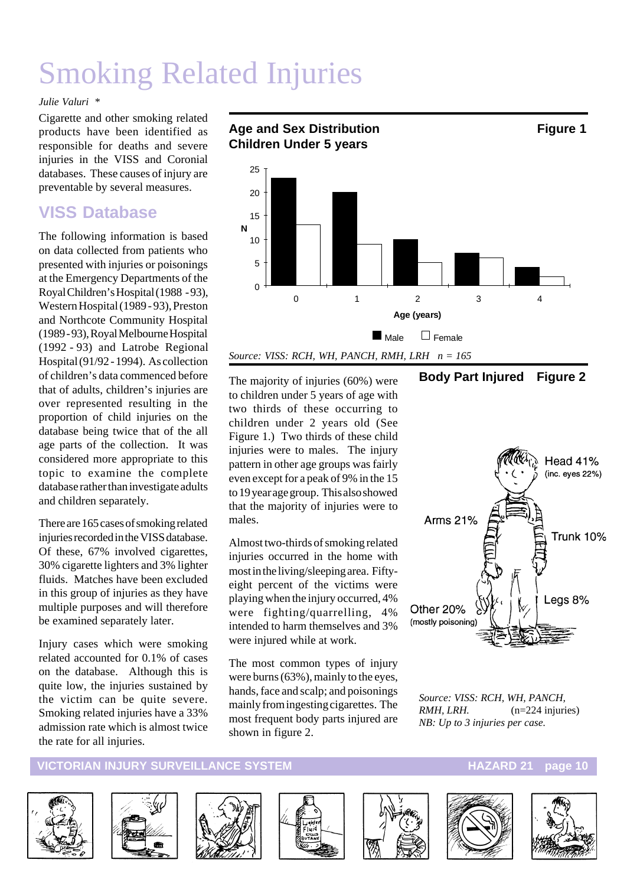# Smoking Related Injuries

#### *Julie Valuri \**

Cigarette and other smoking related products have been identified as responsible for deaths and severe injuries in the VISS and Coronial databases. These causes of injury are preventable by several measures.

## **VISS Database**

The following information is based on data collected from patients who presented with injuries or poisonings at the Emergency Departments of the Royal Children's Hospital (1988 - 93), Western Hospital (1989 - 93), Preston and Northcote Community Hospital (1989 - 93), Royal Melbourne Hospital (1992 - 93) and Latrobe Regional Hospital (91/92 - 1994). As collection of children's data commenced before that of adults, children's injuries are over represented resulting in the proportion of child injuries on the database being twice that of the all age parts of the collection. It was considered more appropriate to this topic to examine the complete database rather than investigate adults and children separately.

There are 165 cases of smoking related injuries recorded in the VISS database. Of these, 67% involved cigarettes, 30% cigarette lighters and 3% lighter fluids. Matches have been excluded in this group of injuries as they have multiple purposes and will therefore be examined separately later.

Injury cases which were smoking related accounted for 0.1% of cases on the database. Although this is quite low, the injuries sustained by the victim can be quite severe. Smoking related injuries have a 33% admission rate which is almost twice the rate for all injuries.



The majority of injuries (60%) were to children under 5 years of age with two thirds of these occurring to children under 2 years old (See Figure 1.) Two thirds of these child injuries were to males. The injury pattern in other age groups was fairly even except for a peak of 9% in the 15 to 19 year age group. This also showed that the majority of injuries were to males.

Almost two-thirds of smoking related injuries occurred in the home with most in the living/sleeping area. Fiftyeight percent of the victims were playing when the injury occurred, 4% were fighting/quarrelling, 4% intended to harm themselves and 3% were injured while at work.

The most common types of injury were burns (63%), mainly to the eyes, hands, face and scalp; and poisonings mainly from ingesting cigarettes. The most frequent body parts injured are shown in figure 2.

#### **Body Part Injured Figure 2**



*Source: VISS: RCH, WH, PANCH, RMH, LRH.* (n=224 injuries) *NB: Up to 3 injuries per case.*

#### **VICTORIAN INJURY SURVEILLANCE SYSTEM AND RESERVE THE RESERVE HAZARD 21 page 10**













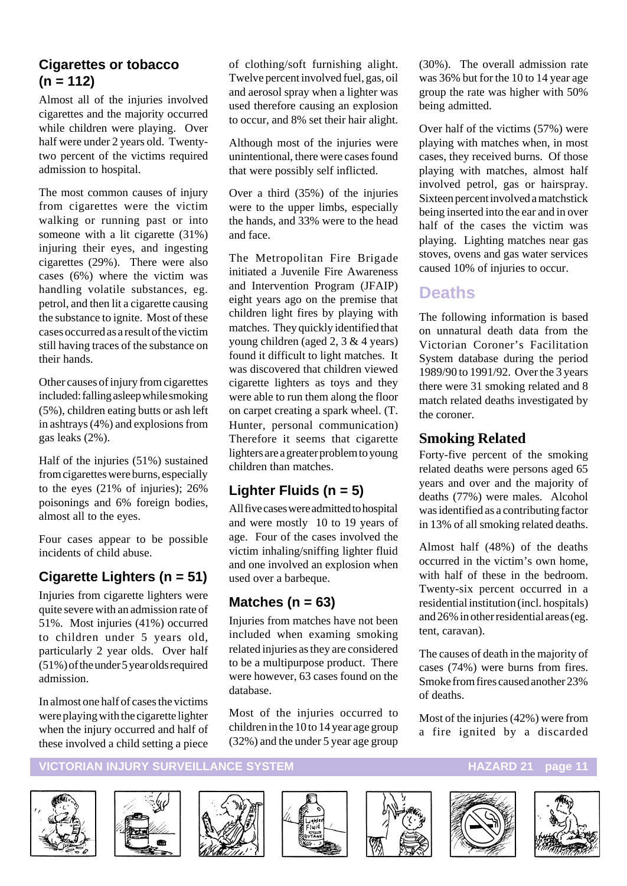#### **Cigarettes or tobacco (n = 112)**

Almost all of the injuries involved cigarettes and the majority occurred while children were playing. Over half were under 2 years old. Twentytwo percent of the victims required admission to hospital.

The most common causes of injury from cigarettes were the victim walking or running past or into someone with a lit cigarette (31%) injuring their eyes, and ingesting cigarettes (29%). There were also cases (6%) where the victim was handling volatile substances, eg. petrol, and then lit a cigarette causing the substance to ignite. Most of these cases occurred as a result of the victim still having traces of the substance on their hands.

Other causes of injury from cigarettes included: falling asleep while smoking (5%), children eating butts or ash left in ashtrays (4%) and explosions from gas leaks (2%).

Half of the injuries (51%) sustained from cigarettes were burns, especially to the eyes (21% of injuries); 26% poisonings and 6% foreign bodies, almost all to the eyes.

Four cases appear to be possible incidents of child abuse.

### **Cigarette Lighters (n = 51)**

Injuries from cigarette lighters were quite severe with an admission rate of 51%. Most injuries (41%) occurred to children under 5 years old, particularly 2 year olds. Over half (51%) of the under 5 year olds required admission.

In almost one half of cases the victims were playing with the cigarette lighter when the injury occurred and half of these involved a child setting a piece

of clothing/soft furnishing alight. Twelve percent involved fuel, gas, oil and aerosol spray when a lighter was used therefore causing an explosion to occur, and 8% set their hair alight.

Although most of the injuries were unintentional, there were cases found that were possibly self inflicted.

Over a third (35%) of the injuries were to the upper limbs, especially the hands, and 33% were to the head and face.

The Metropolitan Fire Brigade initiated a Juvenile Fire Awareness and Intervention Program (JFAIP) eight years ago on the premise that children light fires by playing with matches. They quickly identified that young children (aged 2, 3 & 4 years) found it difficult to light matches. It was discovered that children viewed cigarette lighters as toys and they were able to run them along the floor on carpet creating a spark wheel. (T. Hunter, personal communication) Therefore it seems that cigarette lighters are a greater problem to young children than matches.

#### **Lighter Fluids (n = 5)**

All five cases were admitted to hospital and were mostly 10 to 19 years of age. Four of the cases involved the victim inhaling/sniffing lighter fluid and one involved an explosion when used over a barbeque.

#### **Matches (n = 63)**

Injuries from matches have not been included when examing smoking related injuries as they are considered to be a multipurpose product. There were however, 63 cases found on the database.

Most of the injuries occurred to children in the 10 to 14 year age group (32%) and the under 5 year age group

(30%). The overall admission rate was 36% but for the 10 to 14 year age group the rate was higher with 50% being admitted.

Over half of the victims (57%) were playing with matches when, in most cases, they received burns. Of those playing with matches, almost half involved petrol, gas or hairspray. Sixteen percent involved a matchstick being inserted into the ear and in over half of the cases the victim was playing. Lighting matches near gas stoves, ovens and gas water services caused 10% of injuries to occur.

### **Deaths**

The following information is based on unnatural death data from the Victorian Coroner's Facilitation System database during the period 1989/90 to 1991/92. Over the 3 years there were 31 smoking related and 8 match related deaths investigated by the coroner.

#### **Smoking Related**

Forty-five percent of the smoking related deaths were persons aged 65 years and over and the majority of deaths (77%) were males. Alcohol was identified as a contributing factor in 13% of all smoking related deaths.

Almost half (48%) of the deaths occurred in the victim's own home, with half of these in the bedroom. Twenty-six percent occurred in a residential institution (incl. hospitals) and 26% in other residential areas (eg. tent, caravan).

The causes of death in the majority of cases (74%) were burns from fires. Smoke from fires caused another 23% of deaths.

Most of the injuries (42%) were from a fire ignited by a discarded











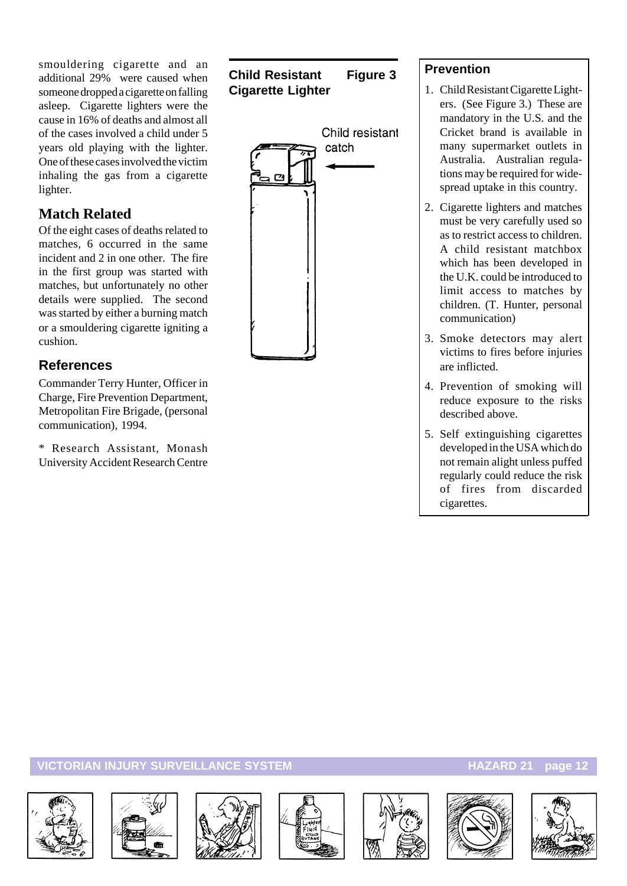smouldering cigarette and an additional 29% were caused when someone dropped a cigarette on falling asleep. Cigarette lighters were the cause in 16% of deaths and almost all of the cases involved a child under 5 years old playing with the lighter. One of these cases involved the victim inhaling the gas from a cigarette lighter.

#### **Match Related**

Of the eight cases of deaths related to matches, 6 occurred in the same incident and 2 in one other. The fire in the first group was started with matches, but unfortunately no other details were supplied. The second was started by either a burning match or a smouldering cigarette igniting a cushion.

#### **References**

Commander Terry Hunter, Officer in Charge, Fire Prevention Department, Metropolitan Fire Brigade, (personal communication), 1994.

\* Research Assistant, Monash University Accident Research Centre

#### **Child Resistant Figure 3 Cigarette Lighter**



#### **Prevention**

- 1. Child Resistant Cigarette Lighters. (See Figure 3.) These are mandatory in the U.S. and the Cricket brand is available in many supermarket outlets in Australia. Australian regulations may be required for widespread uptake in this country.
- 2. Cigarette lighters and matches must be very carefully used so as to restrict access to children. A child resistant matchbox which has been developed in the U.K. could be introduced to limit access to matches by children. (T. Hunter, personal communication)
- 3. Smoke detectors may alert victims to fires before injuries are inflicted.
- 4. Prevention of smoking will reduce exposure to the risks described above.
- 5. Self extinguishing cigarettes developed in the USA which do not remain alight unless puffed regularly could reduce the risk of fires from discarded cigarettes.













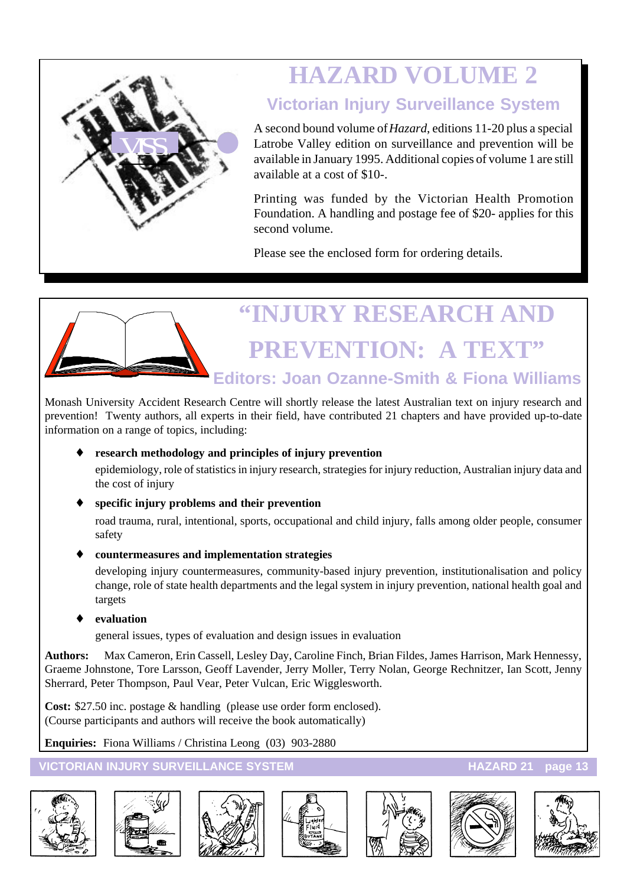

# **HAZARD VOLUME 2**

## **Victorian Injury Surveillance System**

A second bound volume of *Hazard*, editions 11-20 plus a special Latrobe Valley edition on surveillance and prevention will be available in January 1995. Additional copies of volume 1 are still available at a cost of \$10-.

Printing was funded by the Victorian Health Promotion Foundation. A handling and postage fee of \$20- applies for this second volume.

Please see the enclosed form for ordering details.

# **"INJURY RESEARCH AND PREVENTION: A TEXT" Editors: Joan Ozanne-Smith & Fiona Williams**

Monash University Accident Research Centre will shortly release the latest Australian text on injury research and prevention! Twenty authors, all experts in their field, have contributed 21 chapters and have provided up-to-date information on a range of topics, including:

#### research methodology and principles of injury prevention

epidemiology, role of statistics in injury research, strategies for injury reduction, Australian injury data and the cost of injury

#### specific injury problems and their prevention

road trauma, rural, intentional, sports, occupational and child injury, falls among older people, consumer safety

#### ♦ **countermeasures and implementation strategies**

developing injury countermeasures, community-based injury prevention, institutionalisation and policy change, role of state health departments and the legal system in injury prevention, national health goal and targets

#### evaluation

general issues, types of evaluation and design issues in evaluation

**Authors:** Max Cameron, Erin Cassell, Lesley Day, Caroline Finch, Brian Fildes, James Harrison, Mark Hennessy, Graeme Johnstone, Tore Larsson, Geoff Lavender, Jerry Moller, Terry Nolan, George Rechnitzer, Ian Scott, Jenny Sherrard, Peter Thompson, Paul Vear, Peter Vulcan, Eric Wigglesworth.

**Cost:** \$27.50 inc. postage & handling (please use order form enclosed). (Course participants and authors will receive the book automatically)

**Enquiries:** Fiona Williams / Christina Leong (03) 903-2880













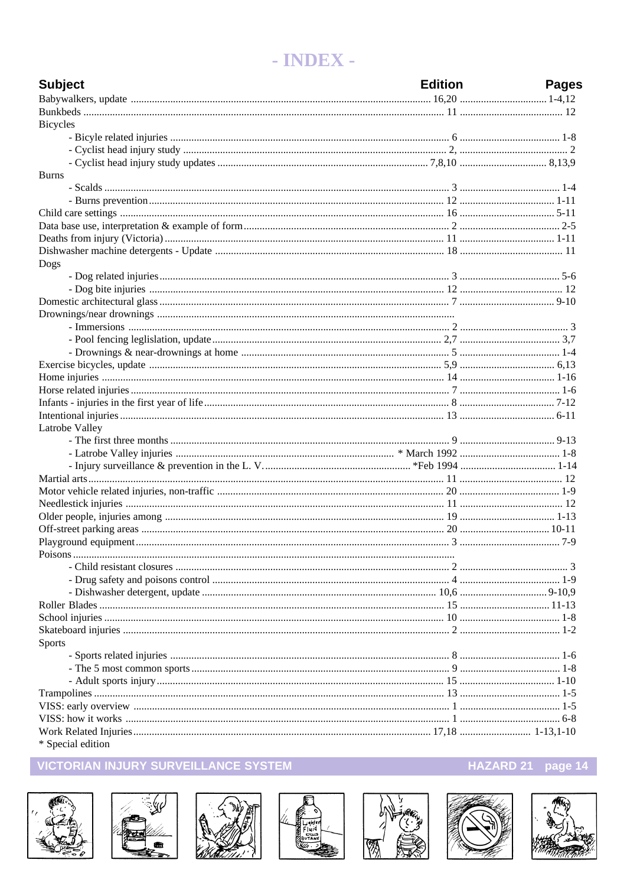# - INDEX -

| <b>Subject</b>    | <b>Edition</b> | <b>Pages</b> |
|-------------------|----------------|--------------|
|                   |                |              |
|                   |                |              |
| <b>Bicycles</b>   |                |              |
|                   |                |              |
|                   |                |              |
|                   |                |              |
| <b>Burns</b>      |                |              |
|                   |                |              |
|                   |                |              |
|                   |                |              |
|                   |                |              |
|                   |                |              |
|                   |                |              |
| Dogs              |                |              |
|                   |                |              |
|                   |                |              |
|                   |                |              |
|                   |                |              |
|                   |                |              |
|                   |                |              |
|                   |                |              |
|                   |                |              |
|                   |                |              |
|                   |                |              |
|                   |                |              |
|                   |                |              |
| Latrobe Valley    |                |              |
|                   |                |              |
|                   |                |              |
|                   |                |              |
|                   |                |              |
|                   |                |              |
|                   |                |              |
|                   |                |              |
|                   |                |              |
|                   |                |              |
|                   |                |              |
|                   |                |              |
|                   |                |              |
|                   |                |              |
|                   |                |              |
|                   |                |              |
|                   |                |              |
| <b>Sports</b>     |                |              |
|                   |                |              |
|                   |                |              |
|                   |                |              |
|                   |                |              |
|                   |                |              |
|                   |                |              |
|                   |                |              |
| * Special edition |                |              |

#### VICTORIAN INJURY SURVEILLANCE SYSTEM















HAZARD 21 page 14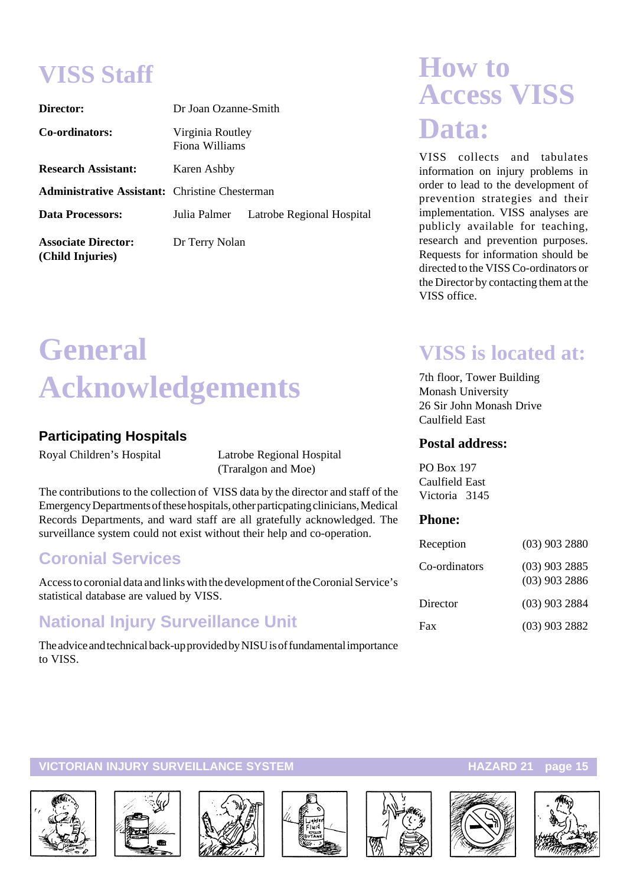# **VISS Staff**

| Director:                                             | Dr Joan Ozanne-Smith               |                           |  |  |
|-------------------------------------------------------|------------------------------------|---------------------------|--|--|
| Co-ordinators:                                        | Virginia Routley<br>Fiona Williams |                           |  |  |
| <b>Research Assistant:</b>                            | Karen Ashby                        |                           |  |  |
| <b>Administrative Assistant:</b> Christine Chesterman |                                    |                           |  |  |
| <b>Data Processors:</b>                               | Julia Palmer                       | Latrobe Regional Hospital |  |  |
| <b>Associate Director:</b><br>(Child Injuries)        | Dr Terry Nolan                     |                           |  |  |

# **General Acknowledgements**

#### **Participating Hospitals**

Royal Children's Hospital Latrobe Regional Hospital (Traralgon and Moe)

The contributions to the collection of VISS data by the director and staff of the Emergency Departments of these hospitals, other particpating clinicians, Medical Records Departments, and ward staff are all gratefully acknowledged. The surveillance system could not exist without their help and co-operation.

# **Coronial Services**

Access to coronial data and links with the development of the Coronial Service's statistical database are valued by VISS.

# **National Injury Surveillance Unit**

The advice and technical back-up provided by NISU is of fundamental importance to VISS.

# **How to Access VISS Data:**

VISS collects and tabulates information on injury problems in order to lead to the development of prevention strategies and their implementation. VISS analyses are publicly available for teaching, research and prevention purposes. Requests for information should be directed to the VISS Co-ordinators or the Director by contacting them at the VISS office.

# **VISS is located at:**

7th floor, Tower Building Monash University 26 Sir John Monash Drive Caulfield East

#### **Postal address:**

PO Box 197 Caulfield East Victoria 3145

#### **Phone:**

| Reception     | $(03)$ 903 2880                    |
|---------------|------------------------------------|
| Co-ordinators | $(03)$ 903 2885<br>$(03)$ 903 2886 |
| Director      | $(03)$ 903 2884                    |
| Fax           | $(03)$ 903 2882                    |